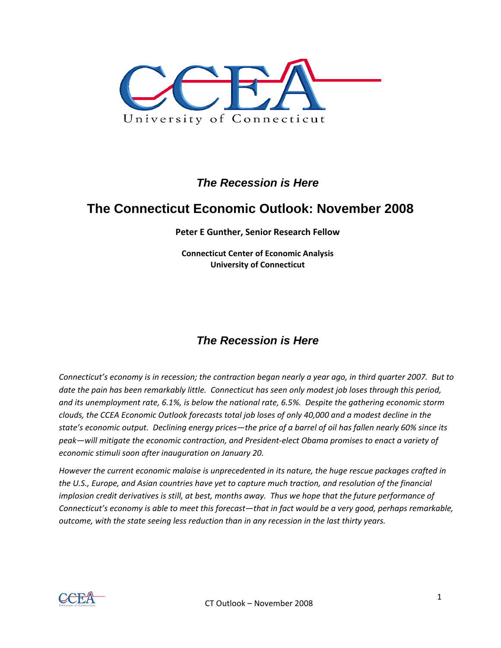

# *The Recession is Here*

# **The Connecticut Economic Outlook: November 2008**

**Peter E Gunther, Senior Research Fellow**

**Connecticut Center of Economic Analysis University of Connecticut**

# *The Recession is Here*

Connecticut's economy is in recession; the contraction began nearly a year ago, in third quarter 2007. But to date the pain has been remarkably little. Connecticut has seen only modest job loses through this period, *and its unemployment rate, 6.1%, is below the national rate, 6.5%. Despite the gathering economic storm* clouds, the CCEA Economic Outlook forecasts total job loses of only 40,000 and a modest decline in the state's economic output. Declining energy prices-the price of a barrel of oil has fallen nearly 60% since its *peak—will mitigate the economic contraction, and President‐elect Obama promises to enact a variety of economic stimuli soon after inauguration on January 20.* 

*However the current economic malaise is unprecedented in its nature, the huge rescue packages crafted in the U.S., Europe, and Asian countries have yet to capture much traction, and resolution of the financial* implosion credit derivatives is still, at best, months away. Thus we hope that the future performance of Connecticut's economy is able to meet this forecast—that in fact would be a very good, perhaps remarkable, *outcome, with the state seeing less reduction than in any recession in the last thirty years.*

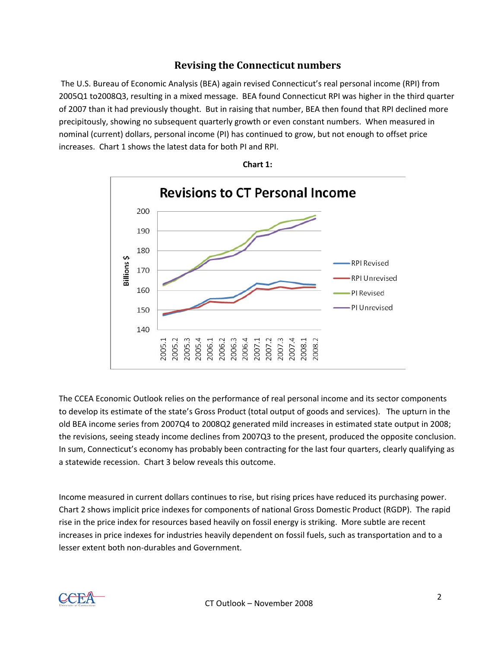#### **Revising the Connecticut numbers**

The U.S. Bureau of Economic Analysis (BEA) again revised Connecticut's real personal income (RPI) from 2005Q1 to2008Q3, resulting in a mixed message. BEA found Connecticut RPI was higher in the third quarter of 2007 than it had previously thought. But in raising that number, BEA then found that RPI declined more precipitously, showing no subsequent quarterly growth or even constant numbers. When measured in nominal (current) dollars, personal income (PI) has continued to grow, but not enough to offset price increases. Chart 1 shows the latest data for both PI and RPI.





The CCEA Economic Outlook relies on the performance of real personal income and its sector components to develop its estimate of the state's Gross Product (total output of goods and services). The upturn in the old BEA income series from 2007Q4 to 2008Q2 generated mild increases in estimated state output in 2008; the revisions, seeing steady income declines from 2007Q3 to the present, produced the opposite conclusion. In sum, Connecticut's economy has probably been contracting for the last four quarters, clearly qualifying as a statewide recession. Chart 3 below reveals this outcome.

Income measured in current dollars continues to rise, but rising prices have reduced its purchasing power. Chart 2 shows implicit price indexes for components of national Gross Domestic Product (RGDP). The rapid rise in the price index for resources based heavily on fossil energy is striking. More subtle are recent increases in price indexes for industries heavily dependent on fossil fuels, such as transportation and to a lesser extent both non‐durables and Government.

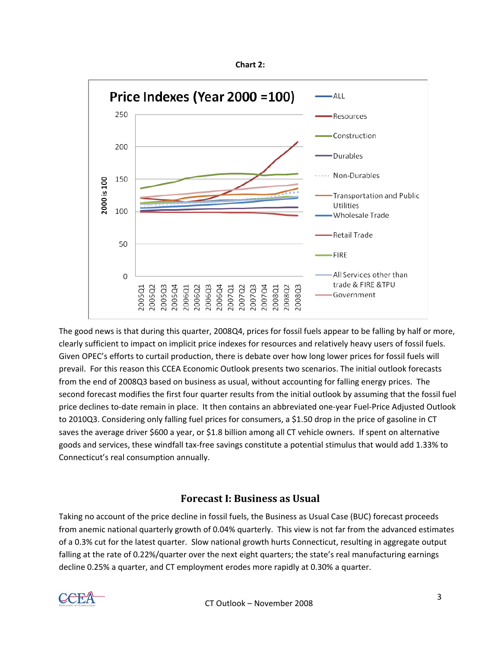



The good news is that during this quarter, 2008Q4, prices for fossil fuels appear to be falling by half or more, clearly sufficient to impact on implicit price indexes for resources and relatively heavy users of fossil fuels. Given OPEC's efforts to curtail production, there is debate over how long lower prices for fossil fuels will prevail. For this reason this CCEA Economic Outlook presents two scenarios. The initial outlook forecasts from the end of 2008Q3 based on business as usual, without accounting for falling energy prices. The second forecast modifies the first four quarter results from the initial outlook by assuming that the fossil fuel price declines to‐date remain in place. It then contains an abbreviated one‐year Fuel‐Price Adjusted Outlook to 2010Q3. Considering only falling fuel prices for consumers, a \$1.50 drop in the price of gasoline in CT saves the average driver \$600 a year, or \$1.8 billion among all CT vehicle owners. If spent on alternative goods and services, these windfall tax‐free savings constitute a potential stimulus that would add 1.33% to Connecticut's real consumption annually.

## **Forecast I: Business as Usual**

Taking no account of the price decline in fossil fuels, the Business as Usual Case (BUC) forecast proceeds from anemic national quarterly growth of 0.04% quarterly. This view is not far from the advanced estimates of a 0.3% cut for the latest quarter. Slow national growth hurts Connecticut, resulting in aggregate output falling at the rate of 0.22%/quarter over the next eight quarters; the state's real manufacturing earnings decline 0.25% a quarter, and CT employment erodes more rapidly at 0.30% a quarter.

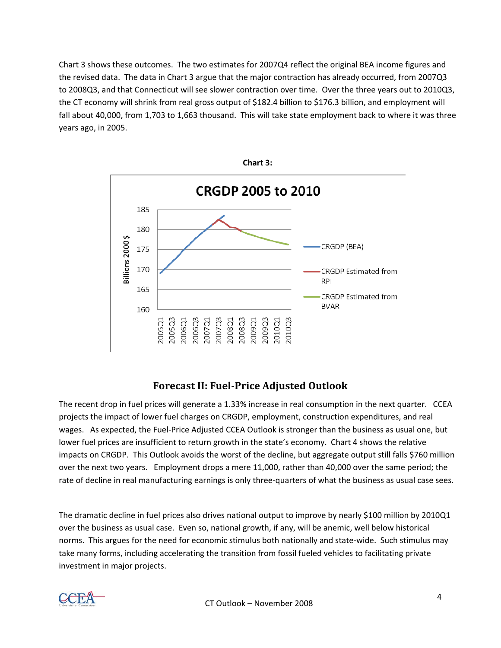Chart 3 shows these outcomes. The two estimates for 2007Q4 reflect the original BEA income figures and the revised data. The data in Chart 3 argue that the major contraction has already occurred, from 2007Q3 to 2008Q3, and that Connecticut will see slower contraction over time. Over the three years out to 2010Q3, the CT economy will shrink from real gross output of \$182.4 billion to \$176.3 billion, and employment will fall about 40,000, from 1,703 to 1,663 thousand. This will take state employment back to where it was three years ago, in 2005.



## **Forecast II: FuelPrice Adjusted Outlook**

The recent drop in fuel prices will generate a 1.33% increase in real consumption in the next quarter. CCEA projects the impact of lower fuel charges on CRGDP, employment, construction expenditures, and real wages. As expected, the Fuel-Price Adjusted CCEA Outlook is stronger than the business as usual one, but lower fuel prices are insufficient to return growth in the state's economy. Chart 4 shows the relative impacts on CRGDP. This Outlook avoids the worst of the decline, but aggregate output still falls \$760 million over the next two years. Employment drops a mere 11,000, rather than 40,000 over the same period; the rate of decline in real manufacturing earnings is only three‐quarters of what the business as usual case sees.

The dramatic decline in fuel prices also drives national output to improve by nearly \$100 million by 2010Q1 over the business as usual case. Even so, national growth, if any, will be anemic, well below historical norms. This argues for the need for economic stimulus both nationally and state‐wide. Such stimulus may take many forms, including accelerating the transition from fossil fueled vehicles to facilitating private investment in major projects.